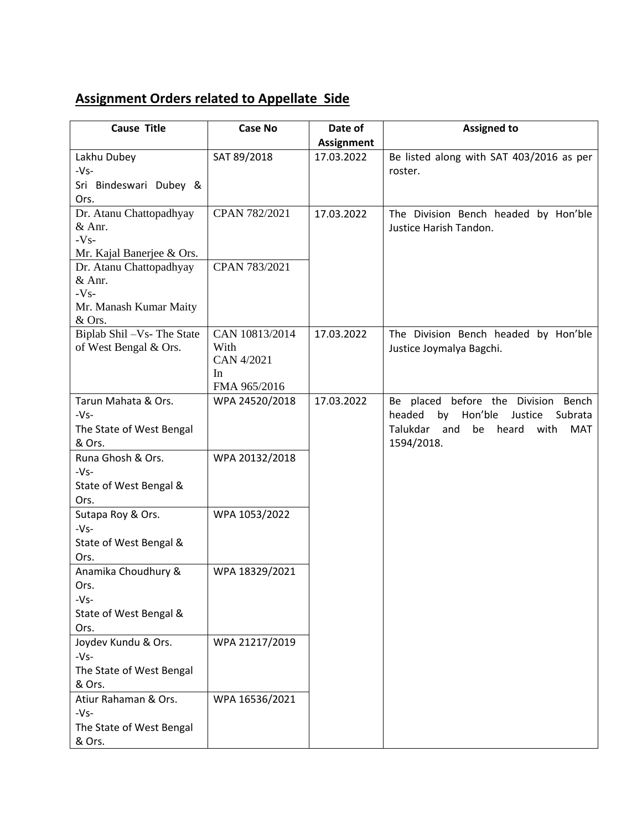## **Assignment Orders related to Appellate Side**

| <b>Cause Title</b>            | <b>Case No</b> | Date of           | <b>Assigned to</b>                                                                   |
|-------------------------------|----------------|-------------------|--------------------------------------------------------------------------------------|
|                               |                | <b>Assignment</b> |                                                                                      |
| Lakhu Dubey                   | SAT 89/2018    | 17.03.2022        | Be listed along with SAT 403/2016 as per                                             |
| $-Vs-$                        |                |                   | roster.                                                                              |
| Sri Bindeswari Dubey &        |                |                   |                                                                                      |
| Ors.                          |                |                   |                                                                                      |
| Dr. Atanu Chattopadhyay       | CPAN 782/2021  | 17.03.2022        | The Division Bench headed by Hon'ble                                                 |
| & Anr.<br>$-Vs-$              |                |                   | Justice Harish Tandon.                                                               |
| Mr. Kajal Banerjee & Ors.     |                |                   |                                                                                      |
| Dr. Atanu Chattopadhyay       | CPAN 783/2021  |                   |                                                                                      |
| & Anr.                        |                |                   |                                                                                      |
| $-Vs-$                        |                |                   |                                                                                      |
| Mr. Manash Kumar Maity        |                |                   |                                                                                      |
| & Ors.                        |                |                   |                                                                                      |
| Biplab Shil - Vs- The State   | CAN 10813/2014 | 17.03.2022        | The Division Bench headed by Hon'ble                                                 |
| of West Bengal & Ors.         | With           |                   | Justice Joymalya Bagchi.                                                             |
|                               | CAN 4/2021     |                   |                                                                                      |
|                               | In             |                   |                                                                                      |
|                               | FMA 965/2016   | 17.03.2022        |                                                                                      |
| Tarun Mahata & Ors.<br>$-Vs-$ | WPA 24520/2018 |                   | Be placed before the Division Bench<br>headed<br>by<br>Hon'ble<br>Justice<br>Subrata |
| The State of West Bengal      |                |                   | Talukdar<br>be<br>heard<br>and<br>with<br><b>MAT</b>                                 |
| & Ors.                        |                |                   | 1594/2018.                                                                           |
| Runa Ghosh & Ors.             | WPA 20132/2018 |                   |                                                                                      |
| $-Vs-$                        |                |                   |                                                                                      |
| State of West Bengal &        |                |                   |                                                                                      |
| Ors.                          |                |                   |                                                                                      |
| Sutapa Roy & Ors.             | WPA 1053/2022  |                   |                                                                                      |
| $-Vs-$                        |                |                   |                                                                                      |
| State of West Bengal &        |                |                   |                                                                                      |
| Ors.                          |                |                   |                                                                                      |
| Anamika Choudhury &           | WPA 18329/2021 |                   |                                                                                      |
| Ors.                          |                |                   |                                                                                      |
| $-Vs-$                        |                |                   |                                                                                      |
| State of West Bengal &        |                |                   |                                                                                      |
| Ors.                          |                |                   |                                                                                      |
| Joydev Kundu & Ors.           | WPA 21217/2019 |                   |                                                                                      |
| $-Vs-$                        |                |                   |                                                                                      |
| The State of West Bengal      |                |                   |                                                                                      |
| & Ors.                        |                |                   |                                                                                      |
| Atiur Rahaman & Ors.          | WPA 16536/2021 |                   |                                                                                      |
| $-Vs-$                        |                |                   |                                                                                      |
| The State of West Bengal      |                |                   |                                                                                      |
| & Ors.                        |                |                   |                                                                                      |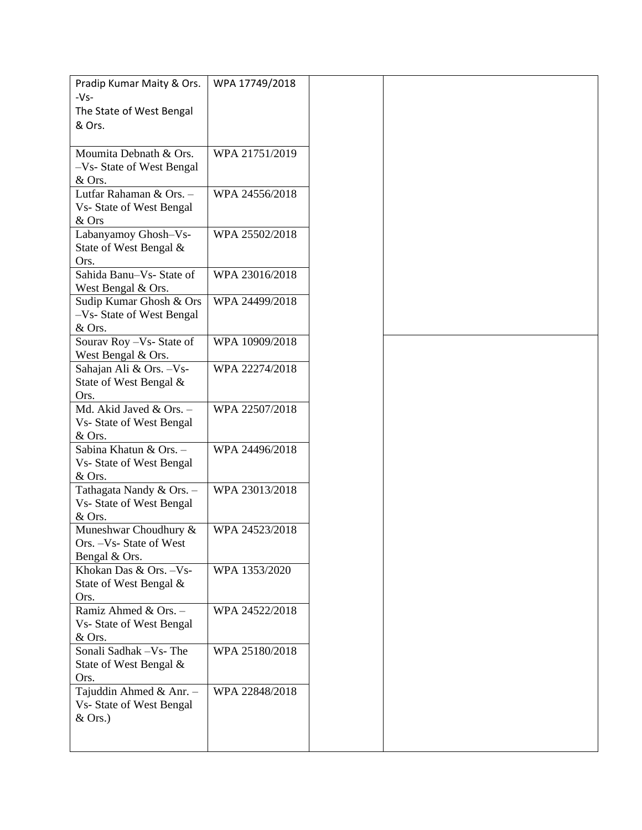| Pradip Kumar Maity & Ors.                      | WPA 17749/2018 |
|------------------------------------------------|----------------|
| $-Vs-$<br>The State of West Bengal             |                |
| & Ors.                                         |                |
|                                                |                |
| Moumita Debnath & Ors.                         | WPA 21751/2019 |
| -Vs- State of West Bengal<br>& Ors.            |                |
| Lutfar Rahaman & Ors. -                        | WPA 24556/2018 |
| Vs- State of West Bengal                       |                |
| & Ors                                          |                |
| Labanyamoy Ghosh-Vs-<br>State of West Bengal & | WPA 25502/2018 |
| Ors.                                           |                |
| Sahida Banu-Vs- State of                       | WPA 23016/2018 |
| West Bengal & Ors.                             |                |
| Sudip Kumar Ghosh & Ors                        | WPA 24499/2018 |
| -Vs- State of West Bengal<br>& Ors.            |                |
| Sourav Roy - Vs- State of                      | WPA 10909/2018 |
| West Bengal & Ors.                             |                |
| Sahajan Ali & Ors. - Vs-                       | WPA 22274/2018 |
| State of West Bengal &<br>Ors.                 |                |
| Md. Akid Javed & Ors. -                        | WPA 22507/2018 |
| Vs- State of West Bengal                       |                |
| & Ors.                                         |                |
| Sabina Khatun & Ors. -                         | WPA 24496/2018 |
| Vs- State of West Bengal<br>& Ors.             |                |
| Tathagata Nandy & Ors. -                       | WPA 23013/2018 |
| Vs- State of West Bengal                       |                |
| & Ors.                                         |                |
| Muneshwar Choudhury &                          | WPA 24523/2018 |
| Ors. - Vs- State of West                       |                |
| Bengal & Ors.<br>Khokan Das & Ors. - Vs-       | WPA 1353/2020  |
| State of West Bengal &                         |                |
| Ors.                                           |                |
| Ramiz Ahmed & Ors. -                           | WPA 24522/2018 |
| Vs- State of West Bengal<br>& Ors.             |                |
| Sonali Sadhak - Vs- The                        | WPA 25180/2018 |
| State of West Bengal &                         |                |
| Ors.                                           |                |
| Tajuddin Ahmed & Anr. -                        | WPA 22848/2018 |
| Vs- State of West Bengal                       |                |
| $&$ Ors.)                                      |                |
|                                                |                |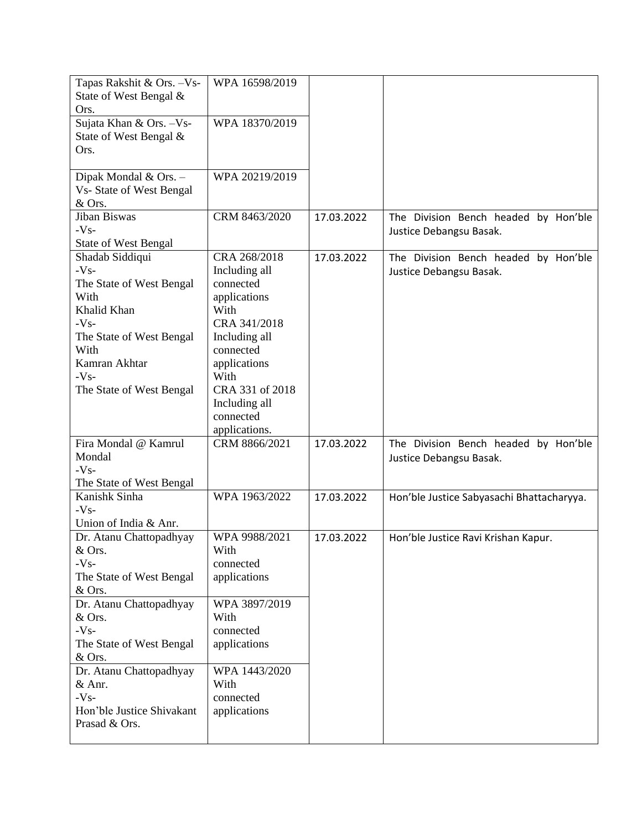| Tapas Rakshit & Ors. - Vs-                        | WPA 16598/2019             |            |                                           |
|---------------------------------------------------|----------------------------|------------|-------------------------------------------|
| State of West Bengal &                            |                            |            |                                           |
| Ors.                                              |                            |            |                                           |
| Sujata Khan & Ors. - Vs-                          | WPA 18370/2019             |            |                                           |
| State of West Bengal &                            |                            |            |                                           |
| Ors.                                              |                            |            |                                           |
|                                                   | WPA 20219/2019             |            |                                           |
| Dipak Mondal & Ors. -<br>Vs- State of West Bengal |                            |            |                                           |
| & Ors.                                            |                            |            |                                           |
| Jiban Biswas                                      | CRM 8463/2020              | 17.03.2022 | The Division Bench headed by Hon'ble      |
| $-Vs-$                                            |                            |            | Justice Debangsu Basak.                   |
| <b>State of West Bengal</b>                       |                            |            |                                           |
| Shadab Siddiqui                                   | CRA 268/2018               | 17.03.2022 | The Division Bench headed by Hon'ble      |
| $-Vs-$                                            | Including all              |            | Justice Debangsu Basak.                   |
| The State of West Bengal                          | connected                  |            |                                           |
| With                                              | applications               |            |                                           |
| Khalid Khan                                       | With                       |            |                                           |
| $-Vs-$                                            | CRA 341/2018               |            |                                           |
| The State of West Bengal                          | Including all              |            |                                           |
| With                                              | connected                  |            |                                           |
| Kamran Akhtar                                     | applications               |            |                                           |
| $-Vs-$                                            | With                       |            |                                           |
| The State of West Bengal                          | CRA 331 of 2018            |            |                                           |
|                                                   | Including all<br>connected |            |                                           |
|                                                   | applications.              |            |                                           |
| Fira Mondal @ Kamrul                              | CRM 8866/2021              | 17.03.2022 | The Division Bench headed by Hon'ble      |
| Mondal                                            |                            |            | Justice Debangsu Basak.                   |
| $-Vs-$                                            |                            |            |                                           |
| The State of West Bengal                          |                            |            |                                           |
| Kanishk Sinha                                     | WPA 1963/2022              | 17.03.2022 | Hon'ble Justice Sabyasachi Bhattacharyya. |
| $-Vs-$                                            |                            |            |                                           |
| Union of India & Anr.                             |                            |            |                                           |
| Dr. Atanu Chattopadhyay                           | WPA 9988/2021              | 17.03.2022 | Hon'ble Justice Ravi Krishan Kapur.       |
| & Ors.                                            | With                       |            |                                           |
| $-Vs-$                                            | connected                  |            |                                           |
| The State of West Bengal                          | applications               |            |                                           |
| & Ors.                                            |                            |            |                                           |
| Dr. Atanu Chattopadhyay<br>& Ors.                 | WPA 3897/2019<br>With      |            |                                           |
| $-Vs-$                                            | connected                  |            |                                           |
| The State of West Bengal                          | applications               |            |                                           |
| & Ors.                                            |                            |            |                                           |
| Dr. Atanu Chattopadhyay                           | WPA 1443/2020              |            |                                           |
| & Anr.                                            | With                       |            |                                           |
| $-Vs-$                                            | connected                  |            |                                           |
| Hon'ble Justice Shivakant                         | applications               |            |                                           |
| Prasad & Ors.                                     |                            |            |                                           |
|                                                   |                            |            |                                           |